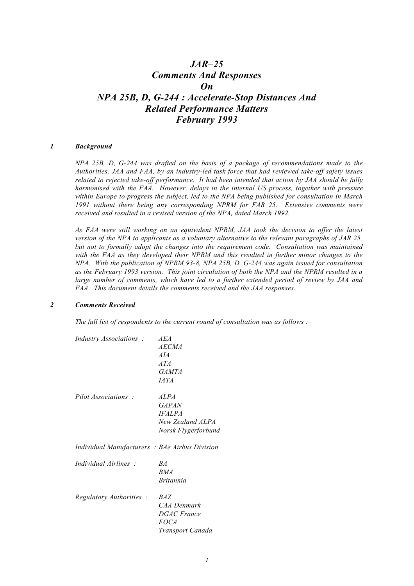# *JAR–25 Comments And Responses On NPA 25B, D, G-244 : Accelerate-Stop Distances And Related Performance Matters February 1993*

#### *1 Background*

*NPA 25B, D, G-244 was drafted on the basis of a package of recommendations made to the Authorities, JAA and FAA, by an industry-led task force that had reviewed take-off safety issues related to rejected take-off performance. It had been intended that action by JAA should be fully harmonised with the FAA. However, delays in the internal US process, together with pressure within Europe to progress the subject, led to the NPA being published for consultation in March 1991 without there being any corresponding NPRM for FAR 25. Extensive comments were received and resulted in a revised version of the NPA, dated March 1992.*

*As FAA were still working on an equivalent NPRM, JAA took the decision to offer the latest version of the NPA to applicants as a voluntary alternative to the relevant paragraphs of JAR 25, but not to formally adopt the changes into the requirement code. Consultation was maintained with the FAA as they developed their NPRM and this resulted in further minor changes to the NPA. With the publication of NPRM 93-8, NPA 25B, D, G-244 was again issued for consultation as the February 1993 version. This joint circulation of both the NPA and the NPRM resulted in a large number of comments, which have led to a further extended period of review by JAA and FAA. This document details the comments received and the JAA responses.*

## *2 Comments Received*

*The full list of respondents to the current round of consultation was as follows :–*

| <i>Industry Associations :</i>                | AEA<br><b>AECMA</b><br>AI A<br>ATA<br><i><b>GAMTA</b></i><br><i>IATA</i>                |
|-----------------------------------------------|-----------------------------------------------------------------------------------------|
| Pilot Associations:                           | <i>ALPA</i><br><b>GAPAN</b><br><b>IFALPA</b><br>New Zealand ALPA<br>Norsk Flygerforbund |
| Individual Manufacturers: BAe Airbus Division |                                                                                         |
| Individual Airlines                           | R A<br><b>BMA</b><br><i><b>Britannia</b></i>                                            |
| Regulatory Authorities :                      | B <sub>AZ</sub><br>CAA Denmark<br><b>DGAC</b> France<br><i>FOCA</i><br>Transport Canada |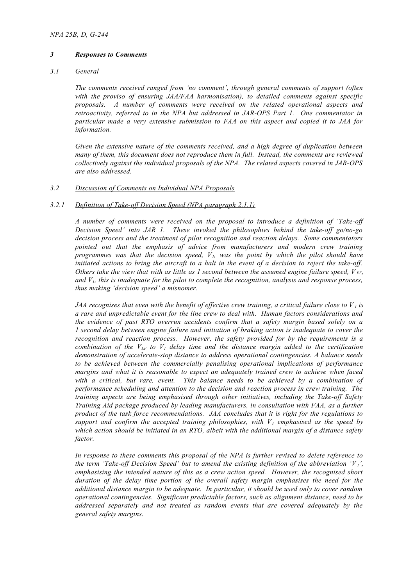# *3 Responses to Comments*

# *3.1 General*

*The comments received ranged from 'no comment', through general comments of support (often with the proviso of ensuring JAA/FAA harmonisation), to detailed comments against specific proposals. A number of comments were received on the related operational aspects and retroactivity, referred to in the NPA but addressed in JAR-OPS Part 1. One commentator in particular made a very extensive submission to FAA on this aspect and copied it to JAA for information.*

*Given the extensive nature of the comments received, and a high degree of duplication between many of them, this document does not reproduce them in full. Instead, the comments are reviewed collectively against the individual proposals of the NPA. The related aspects covered in JAR-OPS are also addressed.*

# *3.2 Discussion of Comments on Individual NPA Proposals*

# *3.2.1 Definition of Take-off Decision Speed (NPA paragraph 2.1.1)*

*A number of comments were received on the proposal to introduce a definition of 'Take-off Decision Speed' into JAR 1. These invoked the philosophies behind the take-off go/no-go decision process and the treatment of pilot recognition and reaction delays. Some commentators pointed out that the emphasis of advice from manufacturers and modern crew training programmes was that the decision speed, V1, was the point by which the pilot should have initiated actions to bring the aircraft to a halt in the event of a decision to reject the take-off. Others take the view that with as little as 1 second between the assumed engine failure speed,*  $V_{EF}$ *, and V1, this is inadequate for the pilot to complete the recognition, analysis and response process, thus making 'decision speed' a misnomer.*

*JAA recognises that even with the benefit of effective crew training, a critical failure close to*  $V<sub>1</sub>$  *is a rare and unpredictable event for the line crew to deal with. Human factors considerations and the evidence of past RTO overrun accidents confirm that a safety margin based solely on a 1 second delay between engine failure and initiation of braking action is inadequate to cover the recognition and reaction process. However, the safety provided for by the requirements is a combination of the*  $V_{EF}$  *to V<sub>1</sub> delay time and the distance margin added to the certification demonstration of accelerate-stop distance to address operational contingencies. A balance needs to be achieved between the commercially penalising operational implications of performance margins and what it is reasonable to expect an adequately trained crew to achieve when faced with a critical, but rare, event. This balance needs to be achieved by a combination of performance scheduling and attention to the decision and reaction process in crew training. The training aspects are being emphasised through other initiatives, including the Take-off Safety Training Aid package produced by leading manufacturers, in consultation with FAA, as a further product of the task force recommendations. JAA concludes that it is right for the regulations to support and confirm the accepted training philosophies, with V1 emphasised as the speed by which action should be initiated in an RTO, albeit with the additional margin of a distance safety factor.*

*In response to these comments this proposal of the NPA is further revised to delete reference to the term 'Take-off Decision Speed' but to amend the existing definition of the abbreviation 'V<sub>1</sub>'*, *emphasising the intended nature of this as a crew action speed. However, the recognised short duration of the delay time portion of the overall safety margin emphasises the need for the additional distance margin to be adequate. In particular, it should be used only to cover random operational contingencies. Significant predictable factors, such as alignment distance, need to be addressed separately and not treated as random events that are covered adequately by the general safety margins.*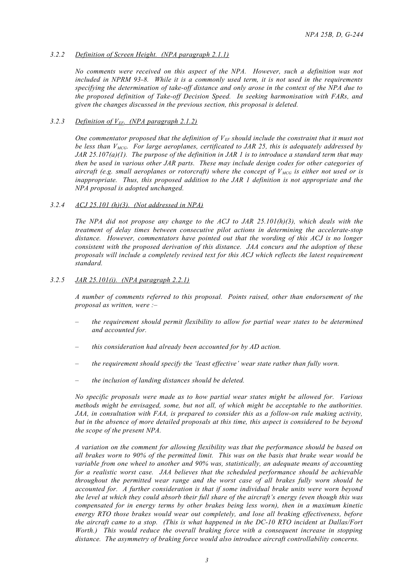# *3.2.2 Definition of Screen Height. (NPA paragraph 2.1.1)*

*No comments were received on this aspect of the NPA. However, such a definition was not included in NPRM 93-8. While it is a commonly used term, it is not used in the requirements specifying the determination of take-off distance and only arose in the context of the NPA due to the proposed definition of Take-off Decision Speed. In seeking harmonisation with FARs, and given the changes discussed in the previous section, this proposal is deleted.*

# 3.2.3 *Definition of V<sub>EF</sub>. (NPA paragraph 2.1.2)*

*One commentator proposed that the definition of VEF should include the constraint that it must not be less than VMCG. For large aeroplanes, certificated to JAR 25, this is adequately addressed by JAR 25.107(a)(1). The purpose of the definition in JAR 1 is to introduce a standard term that may then be used in various other JAR parts. These may include design codes for other categories of aircraft (e.g. small aeroplanes or rotorcraft) where the concept of V MCG is either not used or is inappropriate. Thus, this proposed addition to the JAR 1 definition is not appropriate and the NPA proposal is adopted unchanged.*

# *3.2.4 ACJ 25.101 (h)(3). (Not addressed in NPA)*

*The NPA did not propose any change to the ACJ to JAR 25.101(h)(3), which deals with the treatment of delay times between consecutive pilot actions in determining the accelerate-stop distance. However, commentators have pointed out that the wording of this ACJ is no longer consistent with the proposed derivation of this distance. JAA concurs and the adoption of these proposals will include a completely revised text for this ACJ which reflects the latest requirement standard.*

# *3.2.5 JAR 25.101(i). (NPA paragraph 2.2.1)*

*A number of comments referred to this proposal. Points raised, other than endorsement of the proposal as written, were :–*

- *– the requirement should permit flexibility to allow for partial wear states to be determined and accounted for.*
- *– this consideration had already been accounted for by AD action.*
- *– the requirement should specify the 'least effective' wear state rather than fully worn.*
- *– the inclusion of landing distances should be deleted.*

*No specific proposals were made as to how partial wear states might be allowed for. Various methods might be envisaged, some, but not all, of which might be acceptable to the authorities. JAA, in consultation with FAA, is prepared to consider this as a follow-on rule making activity, but in the absence of more detailed proposals at this time, this aspect is considered to be beyond the scope of the present NPA.*

*A variation on the comment for allowing flexibility was that the performance should be based on all brakes worn to 90% of the permitted limit. This was on the basis that brake wear would be variable from one wheel to another and 90% was, statistically, an adequate means of accounting for a realistic worst case. JAA believes that the scheduled performance should be achievable throughout the permitted wear range and the worst case of all brakes fully worn should be accounted for. A further consideration is that if some individual brake units were worn beyond the level at which they could absorb their full share of the aircraft's energy (even though this was compensated for in energy terms by other brakes being less worn), then in a maximum kinetic energy RTO those brakes would wear out completely, and lose all braking effectiveness, before the aircraft came to a stop. (This is what happened in the DC-10 RTO incident at Dallas/Fort Worth.) This would reduce the overall braking force with a consequent increase in stopping distance. The asymmetry of braking force would also introduce aircraft controllability concerns.*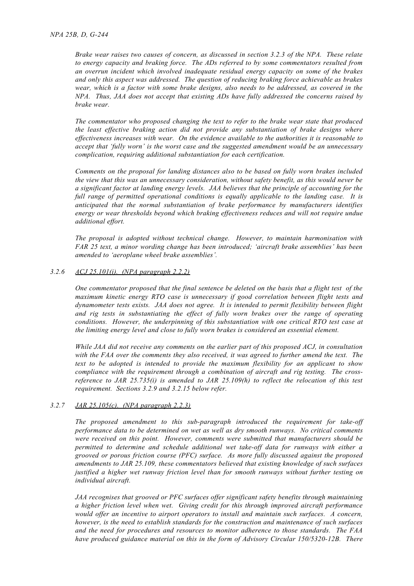*Brake wear raises two causes of concern, as discussed in section 3.2.3 of the NPA. These relate to energy capacity and braking force. The ADs referred to by some commentators resulted from an overrun incident which involved inadequate residual energy capacity on some of the brakes and only this aspect was addressed. The question of reducing braking force achievable as brakes wear, which is a factor with some brake designs, also needs to be addressed, as covered in the NPA. Thus, JAA does not accept that existing ADs have fully addressed the concerns raised by brake wear.*

*The commentator who proposed changing the text to refer to the brake wear state that produced the least effective braking action did not provide any substantiation of brake designs where effectiveness increases with wear. On the evidence available to the authorities it is reasonable to accept that 'fully worn' is the worst case and the suggested amendment would be an unnecessary complication, requiring additional substantiation for each certification.*

*Comments on the proposal for landing distances also to be based on fully worn brakes included the view that this was an unnecessary consideration, without safety benefit, as this would never be a significant factor at landing energy levels. JAA believes that the principle of accounting for the full range of permitted operational conditions is equally applicable to the landing case. It is anticipated that the normal substantiation of brake performance by manufacturers identifies energy or wear thresholds beyond which braking effectiveness reduces and will not require undue additional effort.*

*The proposal is adopted without technical change. However, to maintain harmonisation with FAR 25 text, a minor wording change has been introduced; 'aircraft brake assemblies' has been amended to 'aeroplane wheel brake assemblies'.*

## *3.2.6 ACJ 25.101(i). (NPA paragraph 2.2.2)*

*One commentator proposed that the final sentence be deleted on the basis that a flight test of the maximum kinetic energy RTO case is unnecessary if good correlation between flight tests and dynamometer tests exists. JAA does not agree. It is intended to permit flexibility between flight and rig tests in substantiating the effect of fully worn brakes over the range of operating conditions. However, the underpinning of this substantiation with one critical RTO test case at the limiting energy level and close to fully worn brakes is considered an essential element.*

*While JAA did not receive any comments on the earlier part of this proposed ACJ, in consultation with the FAA over the comments they also received, it was agreed to further amend the text. The text to be adopted is intended to provide the maximum flexibility for an applicant to show compliance with the requirement through a combination of aircraft and rig testing. The crossreference to JAR 25.735(i) is amended to JAR 25.109(h) to reflect the relocation of this test requirement. Sections 3.2.9 and 3.2.15 below refer.*

#### *3.2.7 JAR 25.105(c). (NPA paragraph 2.2.3)*

*The proposed amendment to this sub-paragraph introduced the requirement for take-off performance data to be determined on wet as well as dry smooth runways. No critical comments were received on this point. However, comments were submitted that manufacturers should be permitted to determine and schedule additional wet take-off data for runways with either a grooved or porous friction course (PFC) surface. As more fully discussed against the proposed amendments to JAR 25.109, these commentators believed that existing knowledge of such surfaces justified a higher wet runway friction level than for smooth runways without further testing on individual aircraft.*

*JAA recognises that grooved or PFC surfaces offer significant safety benefits through maintaining a higher friction level when wet. Giving credit for this through improved aircraft performance would offer an incentive to airport operators to install and maintain such surfaces. A concern, however, is the need to establish standards for the construction and maintenance of such surfaces and the need for procedures and resources to monitor adherence to those standards. The FAA have produced guidance material on this in the form of Advisory Circular 150/5320-12B. There*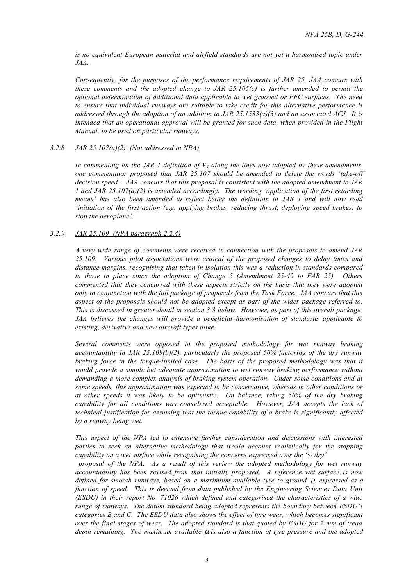*is no equivalent European material and airfield standards are not yet a harmonised topic under JAA.*

*Consequently, for the purposes of the performance requirements of JAR 25, JAA concurs with these comments and the adopted change to JAR 25.105(c) is further amended to permit the optional determination of additional data applicable to wet grooved or PFC surfaces. The need to ensure that individual runways are suitable to take credit for this alternative performance is addressed through the adoption of an addition to JAR 25.1533(a)(3) and an associated ACJ. It is intended that an operational approval will be granted for such data, when provided in the Flight Manual, to be used on particular runways.*

## *3.2.8 JAR 25.107(a)(2) (Not addressed in NPA)*

*In commenting on the JAR 1 definition of V1 along the lines now adopted by these amendments, one commentator proposed that JAR 25.107 should be amended to delete the words 'take-off decision speed'. JAA concurs that this proposal is consistent with the adopted amendment to JAR 1 and JAR 25.107(a)(2) is amended accordingly. The wording 'application of the first retarding means' has also been amended to reflect better the definition in JAR 1 and will now read 'initiation of the first action (e.g. applying brakes, reducing thrust, deploying speed brakes) to stop the aeroplane'.*

## *3.2.9 JAR 25.109 (NPA paragraph 2.2.4)*

*A very wide range of comments were received in connection with the proposals to amend JAR 25.109. Various pilot associations were critical of the proposed changes to delay times and distance margins, recognising that taken in isolation this was a reduction in standards compared to those in place since the adoption of Change 5 (Amendment 25-42 to FAR 25). Others commented that they concurred with these aspects strictly on the basis that they were adopted only in conjunction with the full package of proposals from the Task Force. JAA concurs that this aspect of the proposals should not be adopted except as part of the wider package referred to. This is discussed in greater detail in section 3.3 below. However, as part of this overall package, JAA believes the changes will provide a beneficial harmonisation of standards applicable to existing, derivative and new aircraft types alike.*

*Several comments were opposed to the proposed methodology for wet runway braking accountability in JAR 25.109(b)(2), particularly the proposed 50% factoring of the dry runway braking force in the torque-limited case. The basis of the proposed methodology was that it would provide a simple but adequate approximation to wet runway braking performance without demanding a more complex analysis of braking system operation. Under some conditions and at some speeds, this approximation was expected to be conservative, whereas in other conditions or at other speeds it was likely to be optimistic. On balance, taking 50% of the dry braking capability for all conditions was considered acceptable. However, JAA accepts the lack of technical justification for assuming that the torque capability of a brake is significantly affected by a runway being wet.*

*This aspect of the NPA led to extensive further consideration and discussions with interested parties to seek an alternative methodology that would account realistically for the stopping capability on a wet surface while recognising the concerns expressed over the '½ dry'*

 *proposal of the NPA. As a result of this review the adopted methodology for wet runway accountability has been revised from that initially proposed. A reference wet surface is now defined for smooth runways, based on a maximium available tyre to ground* µ*, expressed as a function of speed. This is derived from data published by the Engineering Sciences Data Unit (ESDU) in their report No. 71026 which defined and categorised the characteristics of a wide range of runways. The datum standard being adopted represents the boundary between ESDU's categories B and C. The ESDU data also shows the effect of tyre wear, which becomes significant over the final stages of wear. The adopted standard is that quoted by ESDU for 2 mm of tread depth remaining. The maximum available* µ *is also a function of tyre pressure and the adopted*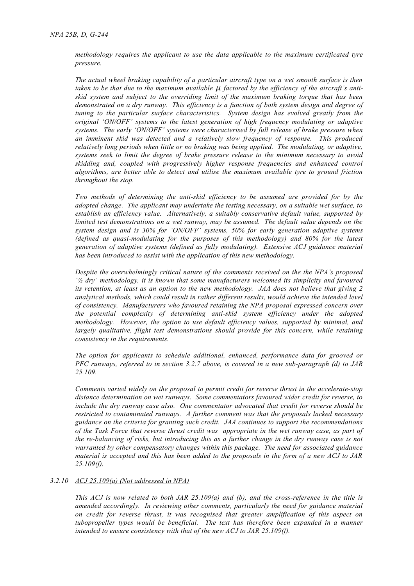*methodology requires the applicant to use the data applicable to the maximum certificated tyre pressure.*

*The actual wheel braking capability of a particular aircraft type on a wet smooth surface is then taken to be that due to the maximum available μ, factored by the efficiency of the aircraft's antiskid system and subject to the overriding limit of the maximum braking torque that has been demonstrated on a dry runway. This efficiency is a function of both system design and degree of tuning to the particular surface characteristics. System design has evolved greatly from the original 'ON/OFF' systems to the latest generation of high frequency modulating or adaptive systems. The early 'ON/OFF' systems were characterised by full release of brake pressure when an imminent skid was detected and a relatively slow frequency of response. This produced relatively long periods when little or no braking was being applied. The modulating, or adaptive, systems seek to limit the degree of brake pressure release to the minimum necessary to avoid skidding and, coupled with progressively higher response frequencies and enhanced control algorithms, are better able to detect and utilise the maximum available tyre to ground friction throughout the stop.*

*Two methods of determining the anti-skid efficiency to be assumed are provided for by the adopted change. The applicant may undertake the testing necessary, on a suitable wet surface, to establish an efficiency value. Alternatively, a suitably conservative default value, supported by limited test demonstrations on a wet runway, may be assumed. The default value depends on the system design and is 30% for 'ON/OFF' systems, 50% for early generation adaptive systems (defined as quasi-modulating for the purposes of this methodology) and 80% for the latest generation of adaptive systems (defined as fully modulating). Extensive ACJ guidance material has been introduced to assist with the application of this new methodology.*

*Despite the overwhelmingly critical nature of the comments received on the the NPA's proposed '½ dry' methodology, it is known that some manufacturers welcomed its simplicity and favoured its retention, at least as an option to the new methodology. JAA does not believe that giving 2 analytical methods, which could result in rather different results, would achieve the intended level of consistency. Manufacturers who favoured retaining the NPA proposal expressed concern over the potential complexity of determining anti-skid system efficiency under the adopted methodology. However, the option to use default efficiency values, supported by minimal, and largely qualitative, flight test demonstrations should provide for this concern, while retaining consistency in the requirements.*

*The option for applicants to schedule additional, enhanced, performance data for grooved or PFC runways, referred to in section 3.2.7 above, is covered in a new sub-paragraph (d) to JAR 25.109.* 

*Comments varied widely on the proposal to permit credit for reverse thrust in the accelerate-stop distance determination on wet runways. Some commentators favoured wider credit for reverse, to include the dry runway case also. One commentator advocated that credit for reverse should be restricted to contaminated runways. A further comment was that the proposals lacked necessary guidance on the criteria for granting such credit. JAA continues to support the recommendations of the Task Force that reverse thrust credit was appropriate in the wet runway case, as part of the re-balancing of risks, but introducing this as a further change in the dry runway case is not warranted by other compensatory changes within this package. The need for associated guidance material is accepted and this has been added to the proposals in the form of a new ACJ to JAR 25.109(f).*

#### *3.2.10 ACJ 25.109(a) (Not addressed in NPA)*

*This ACJ is now related to both JAR 25.109(a) and (b), and the cross-reference in the title is amended accordingly. In reviewing other comments, particularly the need for guidance material on credit for reverse thrust, it was recognised that greater amplification of this aspect on tubopropeller types would be beneficial. The text has therefore been expanded in a manner intended to ensure consistency with that of the new ACJ to JAR 25.109(f).*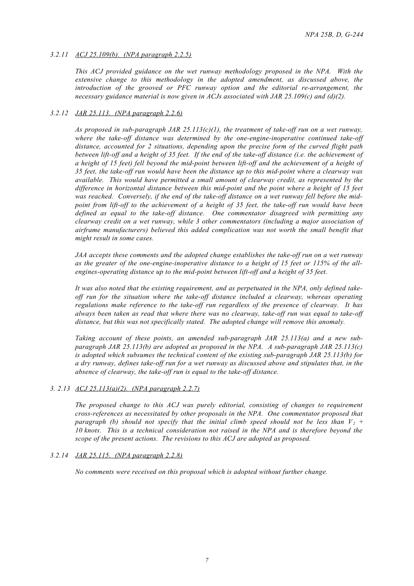# *3.2.11 ACJ 25.109(b). (NPA paragraph 2.2.5)*

*This ACJ provided guidance on the wet runway methodology proposed in the NPA. With the extensive change to this methodology in the adopted amendment, as discussed above, the introduction of the grooved or PFC runway option and the editorial re-arrangement, the necessary guidance material is now given in ACJs associated with JAR 25.109(c) and (d)(2).*

# *3.2.12 JAR 25.113. (NPA paragraph 2.2.6)*

*As proposed in sub-paragraph JAR 25.113(c)(1), the treatment of take-off run on a wet runway, where the take-off distance was determined by the one-engine-inoperative continued take-off distance, accounted for 2 situations, depending upon the precise form of the curved flight path between lift-off and a height of 35 feet. If the end of the take-off distance (i.e. the achievement of a height of 15 feet) fell beyond the mid-point between lift-off and the achievement of a height of 35 feet, the take-off run would have been the distance up to this mid-point where a clearway was available. This would have permitted a small amount of clearway credit, as represented by the difference in horizontal distance between this mid-point and the point where a height of 15 feet was reached. Conversely, if the end of the take-off distance on a wet runway fell before the midpoint from lift-off to the achievement of a height of 35 feet, the take-off run would have been defined as equal to the take-off distance. One commentator disagreed with permitting any clearway credit on a wet runway, while 3 other commentators (including a major association of airframe manufacturers) believed this added complication was not worth the small benefit that might result in some cases.*

*JAA accepts these comments and the adopted change establishes the take-off run on a wet runway as the greater of the one-engine-inoperative distance to a height of 15 feet or 115% of the allengines-operating distance up to the mid-point between lift-off and a height of 35 feet.*

*It was also noted that the existing requirement, and as perpetuated in the NPA, only defined takeoff run for the situation where the take-off distance included a clearway, whereas operating regulations make reference to the take-off run regardless of the presence of clearway. It has always been taken as read that where there was no clearway, take-off run was equal to take-off distance, but this was not specifically stated. The adopted change will remove this anomaly.*

*Taking account of these points, an amended sub-paragraph JAR 25.113(a) and a new subparagraph JAR 25.113(b) are adopted as proposed in the NPA. A sub-paragraph JAR 25.113(c) is adopted which subsumes the technical content of the existing sub-paragraph JAR 25.113(b) for a dry runway, defines take-off run for a wet runway as discussed above and stipulates that, in the absence of clearway, the take-off run is equal to the take-off distance.*

# *3. 2.13 ACJ 25.113(a)(2). (NPA paragraph 2.2.7)*

*The proposed change to this ACJ was purely editorial, consisting of changes to requirement cross-references as necessitated by other proposals in the NPA. One commentator proposed that paragraph (b) should not specify that the initial climb speed should not be less than*  $V_2$  + *10 knots. This is a technical consideration not raised in the NPA and is therefore beyond the scope of the present actions. The revisions to this ACJ are adopted as proposed.*

# *3.2.14 JAR 25.115. (NPA paragraph 2.2.8)*

*No comments were received on this proposal which is adopted without further change.*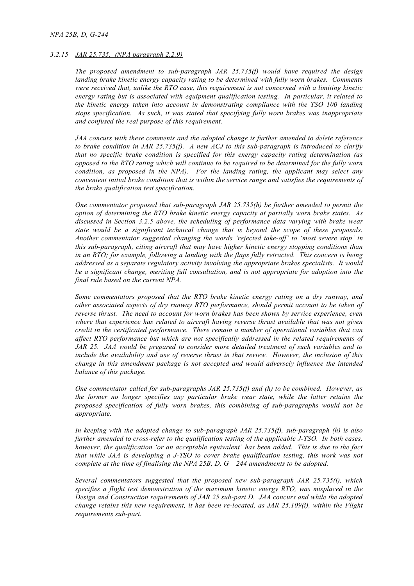## *NPA 25B, D, G-244*

## *3.2.15 JAR 25.735. (NPA paragraph 2.2.9)*

*The proposed amendment to sub-paragraph JAR 25.735(f) would have required the design landing brake kinetic energy capacity rating to be determined with fully worn brakes. Comments were received that, unlike the RTO case, this requirement is not concerned with a limiting kinetic energy rating but is associated with equipment qualification testing. In particular, it related to the kinetic energy taken into account in demonstrating compliance with the TSO 100 landing stops specification. As such, it was stated that specifying fully worn brakes was inappropriate and confused the real purpose of this requirement.*

*JAA concurs with these comments and the adopted change is further amended to delete reference to brake condition in JAR 25.735(f). A new ACJ to this sub-paragraph is introduced to clarify that no specific brake condition is specified for this energy capacity rating determination (as opposed to the RTO rating which will continue to be required to be determined for the fully worn condition, as proposed in the NPA). For the landing rating, the applicant may select any convenient initial brake condition that is within the service range and satisfies the requirements of the brake qualification test specification.*

*One commentator proposed that sub-paragraph JAR 25.735(h) be further amended to permit the option of determining the RTO brake kinetic energy capacity at partially worn brake states. As discussed in Section 3.2.5 above, the scheduling of performance data varying with brake wear state would be a significant technical change that is beyond the scope of these proposals. Another commentator suggested changing the words 'rejected take-off' to 'most severe stop' in this sub-paragraph, citing aircraft that may have higher kinetic energy stopping conditions than in an RTO; for example, following a landing with the flaps fully retracted. This concern is being addressed as a separate regulatory activity involving the appropriate brakes specialists. It would be a significant change, meriting full consultation, and is not appropriate for adoption into the final rule based on the current NPA.*

*Some commentators proposed that the RTO brake kinetic energy rating on a dry runway, and other associated aspects of dry runway RTO performance, should permit account to be taken of reverse thrust. The need to account for worn brakes has been shown by service experience, even where that experience has related to aircraft having reverse thrust available that was not given credit in the certificated performance. There remain a number of operational variables that can affect RTO performance but which are not specifically addressed in the related requirements of JAR 25. JAA would be prepared to consider more detailed treatment of such variables and to include the availability and use of reverse thrust in that review. However, the inclusion of this change in this amendment package is not accepted and would adversely influence the intended balance of this package.*

*One commentator called for sub-paragraphs JAR 25.735(f) and (h) to be combined. However, as the former no longer specifies any particular brake wear state, while the latter retains the proposed specification of fully worn brakes, this combining of sub-paragraphs would not be appropriate.*

*In keeping with the adopted change to sub-paragraph JAR 25.735(f), sub-paragraph (h) is also further amended to cross-refer to the qualification testing of the applicable J-TSO. In both cases, however, the qualification 'or an acceptable equivalent' has been added. This is due to the fact that while JAA is developing a J-TSO to cover brake qualification testing, this work was not complete at the time of finalising the NPA 25B, D, G – 244 amendments to be adopted.*

*Several commentators suggested that the proposed new sub-paragraph JAR 25.735(i), which specifies a flight test demonstration of the maximum kinetic energy RTO, was misplaced in the Design and Construction requirements of JAR 25 sub-part D. JAA concurs and while the adopted change retains this new requirement, it has been re-located, as JAR 25.109(i), within the Flight requirements sub-part.*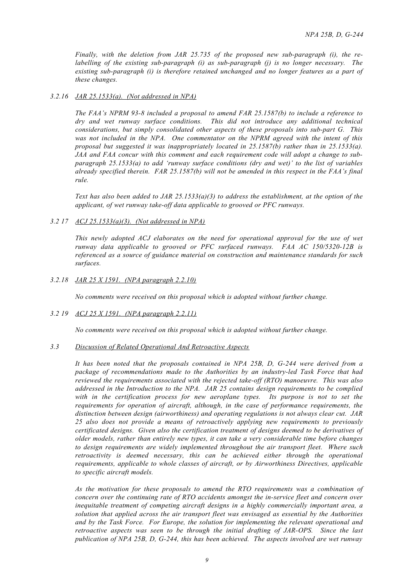*Finally, with the deletion from JAR 25.735 of the proposed new sub-paragraph (i), the relabelling of the existing sub-paragraph (i) as sub-paragraph (j) is no longer necessary. The existing sub-paragraph (i) is therefore retained unchanged and no longer features as a part of these changes.*

## *3.2.16 JAR 25.1533(a). (Not addressed in NPA)*

*The FAA's NPRM 93-8 included a proposal to amend FAR 25.1587(b) to include a reference to dry and wet runway surface conditions. This did not introduce any additional technical considerations, but simply consolidated other aspects of these proposals into sub-part G. This was not included in the NPA. One commentator on the NPRM agreed with the intent of this proposal but suggested it was inappropriately located in 25.1587(b) rather than in 25.1533(a). JAA and FAA concur with this comment and each requirement code will adopt a change to subparagraph 25.1533(a) to add 'runway surface conditions (dry and wet)' to the list of variables already specified therein. FAR 25.1587(b) will not be amended in this respect in the FAA's final rule.*

*Text has also been added to JAR 25.1533(a)(3) to address the establishment, at the option of the applicant, of wet runway take-off data applicable to grooved or PFC runways.*

# *3.2 17 ACJ 25.1533(a)(3). (Not addressed in NPA)*

*This newly adopted ACJ elaborates on the need for operational approval for the use of wet runway data applicable to grooved or PFC surfaced runways. FAA AC 150/5320-12B is referenced as a source of guidance material on construction and maintenance standards for such surfaces.*

# *3.2.18 JAR 25 X 1591. (NPA paragraph 2.2.10)*

*No comments were received on this proposal which is adopted without further change.*

#### *3.2 19 ACJ 25 X 1591. (NPA paragraph 2.2.11)*

*No comments were received on this proposal which is adopted without further change.*

## *3.3 Discussion of Related Operational And Retroactive Aspects*

*It has been noted that the proposals contained in NPA 25B, D, G-244 were derived from a package of recommendations made to the Authorities by an industry-led Task Force that had reviewed the requirements associated with the rejected take-off (RTO) manoeuvre. This was also addressed in the Introduction to the NPA. JAR 25 contains design requirements to be complied with in the certification process for new aeroplane types. Its purpose is not to set the requirements for operation of aircraft, although, in the case of performance requirements, the distinction between design (airworthiness) and operating regulations is not always clear cut. JAR 25 also does not provide a means of retroactively applying new requirements to previously certificated designs. Given also the certification treatment of designs deemed to be derivatives of older models, rather than entirely new types, it can take a very considerable time before changes to design requirements are widely implemented throughout the air transport fleet. Where such retroactivity is deemed necessary, this can be achieved either through the operational requirements, applicable to whole classes of aircraft, or by Airworthiness Directives, applicable to specific aircraft models.*

*As the motivation for these proposals to amend the RTO requirements was a combination of concern over the continuing rate of RTO accidents amongst the in-service fleet and concern over inequitable treatment of competing aircraft designs in a highly commercially important area, a solution that applied across the air transport fleet was envisaged as essential by the Authorities and by the Task Force. For Europe, the solution for implementing the relevant operational and retroactive aspects was seen to be through the initial drafting of JAR-OPS. Since the last publication of NPA 25B, D, G-244, this has been achieved. The aspects involved are wet runway*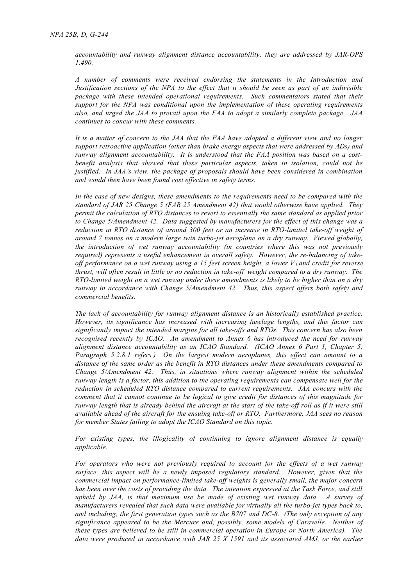*accountability and runway alignment distance accountability; they are addressed by JAR-OPS 1.490.*

*A number of comments were received endorsing the statements in the Introduction and Justification sections of the NPA to the effect that it should be seen as part of an indivisible package with these intended operational requirements. Such commentators stated that their support for the NPA was conditional upon the implementation of these operating requirements also, and urged the JAA to prevail upon the FAA to adopt a similarly complete package. JAA continues to concur with these comments.*

*It is a matter of concern to the JAA that the FAA have adopted a different view and no longer support retroactive application (other than brake energy aspects that were addressed by ADs) and runway alignment accountability. It is understood that the FAA position was based on a costbenefit analysis that showed that these particular aspects, taken in isolation, could not be justified. In JAA's view, the package of proposals should have been considered in combination and would then have been found cost effective in safety terms.*

*In the case of new designs, these amendments to the requirements need to be compared with the standard of JAR 25 Change 5 (FAR 25 Amendment 42) that would otherwise have applied. They permit the calculation of RTO distances to revert to essentially the same standard as applied prior to Change 5/Amendment 42. Data suggested by manufacturers for the effect of this change was a reduction in RTO distance of around 300 feet or an increase in RTO-limited take-off weight of around 7 tonnes on a modern large twin turbo-jet aeroplane on a dry runway. Viewed globally, the introduction of wet runway accountability (in countries where this was not previously required) represents a useful enhancement in overall safety. However, the re-balancing of takeoff performance on a wet runway using a 15 feet screen height, a lower V1 and credit for reverse thrust, will often result in little or no reduction in take-off weight compared to a dry runway. The RTO-limited weight on a wet runway under these amendments is likely to be higher than on a dry runway in accordance with Change 5/Amendment 42. Thus, this aspect offers both safety and commercial benefits.*

*The lack of accountability for runway alignment distance is an historically established practice. However, its significance has increased with increasing fuselage lengths, and this factor can significantly impact the intended margins for all take-offs and RTOs. This concern has also been recognised recently by ICAO. An amendment to Annex 6 has introduced the need for runway alignment distance accountability as an ICAO Standard. (ICAO Annex 6 Part 1, Chapter 5, Paragraph 5.2.8.1 refers.) On the largest modern aeroplanes, this effect can amount to a distance of the same order as the benefit in RTO distances under these amendments compared to Change 5/Amendment 42. Thus, in situations where runway alignment within the scheduled runway length is a factor, this addition to the operating requirements can compensate well for the reduction in scheduled RTO distance compared to current requirements. JAA concurs with the comment that it cannot continue to be logical to give credit for distances of this magnitude for runway length that is already behind the aircraft at the start of the take-off roll as if it were still available ahead of the aircraft for the ensuing take-off or RTO. Furthermore, JAA sees no reason for member States failing to adopt the ICAO Standard on this topic.*

*For existing types, the illogicality of continuing to ignore alignment distance is equally applicable.*

*For operators who were not previously required to account for the effects of a wet runway surface, this aspect will be a newly imposed regulatory standard. However, given that the commercial impact on performance-limited take-off weights is generally small, the major concern has been over the costs of providing the data. The intention expressed at the Task Force, and still upheld by JAA, is that maximum use be made of existing wet runway data. A survey of manufacturers revealed that such data were available for virtually all the turbo-jet types back to, and including, the first generation types such as the B707 and DC-8. (The only exception of any significance appeared to be the Mercure and, possibly, some models of Caravelle. Neither of these types are believed to be still in commercial operation in Europe or North America). The data were produced in accordance with JAR 25 X 1591 and its associated AMJ, or the earlier*